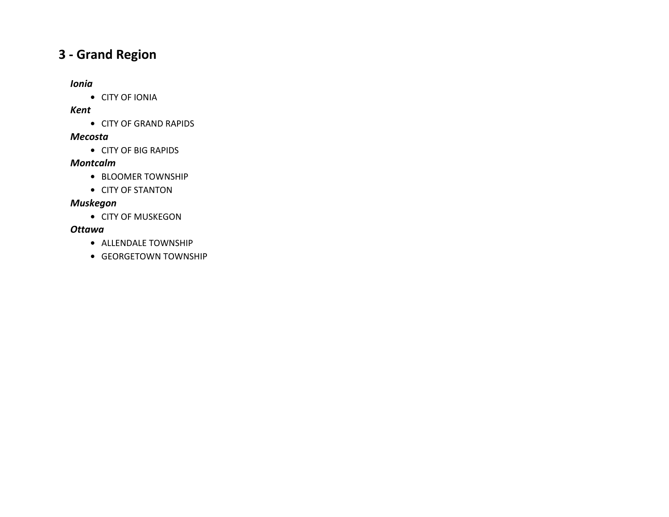# **3 ‐ Grand Region**

## *Ionia*

**•** CITY OF IONIA

## *Kent*

**•** CITY OF GRAND RAPIDS

## *Mecosta*

**•** CITY OF BIG RAPIDS

## *Montcalm*

- **•** BLOOMER TOWNSHIP
- **•** CITY OF STANTON

## *Muskegon*

**•** CITY OF MUSKEGON

## *Ottawa*

- **•** ALLENDALE TOWNSHIP
- **•** GEORGETOWN TOWNSHIP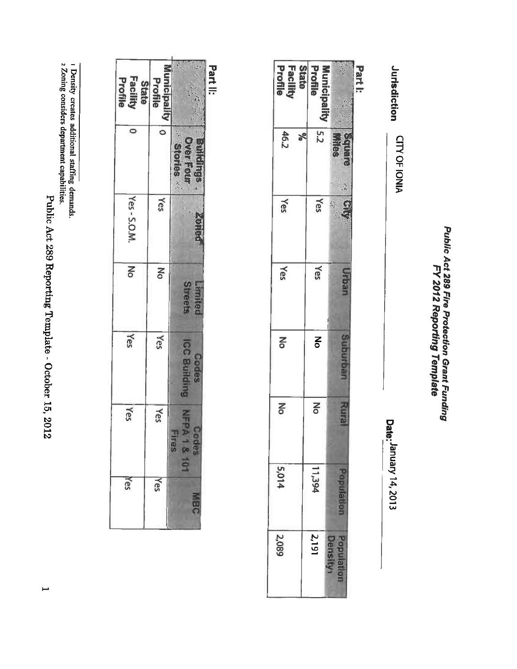Public Act 289 Reporting Template - October 15, 2012

2 Zoning considers department capabilities.

1 Density creates additional staffing demands.

| State<br>Facility<br>Profile | Profile<br><b>Incipality</b> |                      |
|------------------------------|------------------------------|----------------------|
| $\bullet$                    |                              | ņ                    |
| Yes-S.O.M.                   | Yes                          |                      |
| Μo                           | Μo                           | <b>Treets</b>        |
| Yes                          | Yes                          | <b>ROUGH</b>         |
| Yes                          | Yes                          | Ies<br>$\frac{1}{2}$ |
| Yes                          | Yes                          |                      |

Public Act 289 Fire Protection Grant Funding<br>FY 2012 Reporting Template

Jurisdiction CITY OF IONIA

Date: January 14, 2013

Part I:

ķ

**Square**<br>Wites

 $\frac{1}{2} \sum_{i=1}^{n} \frac{1}{i} \sum_{j=1}^{n} \frac{1}{j} \sum_{j=1}^{n} \frac{1}{j} \sum_{j=1}^{n} \frac{1}{j} \sum_{j=1}^{n} \frac{1}{j} \sum_{j=1}^{n} \frac{1}{j} \sum_{j=1}^{n} \frac{1}{j} \sum_{j=1}^{n} \frac{1}{j} \sum_{j=1}^{n} \frac{1}{j} \sum_{j=1}^{n} \frac{1}{j} \sum_{j=1}^{n} \frac{1}{j} \sum_{j=1}^{n} \frac{1}{j} \sum_{j=1}^{n$ 

**Ang** 

Urban

Suburban

**Rural** 

Population

**Facility**<br>Profile

46.2

Yes

Yes

Σó

 $\mathsf{N}^{\mathsf{O}}$ 

5,014

2,089

Part II:

**State** 

 $\sqrt{6}$ 

Profile

**Municipality** 

 $5.2$ 

Yes Ą

Yes

 $\mathbf{z}$ 

No

11,394

 $|2,191$ 

**Density** Population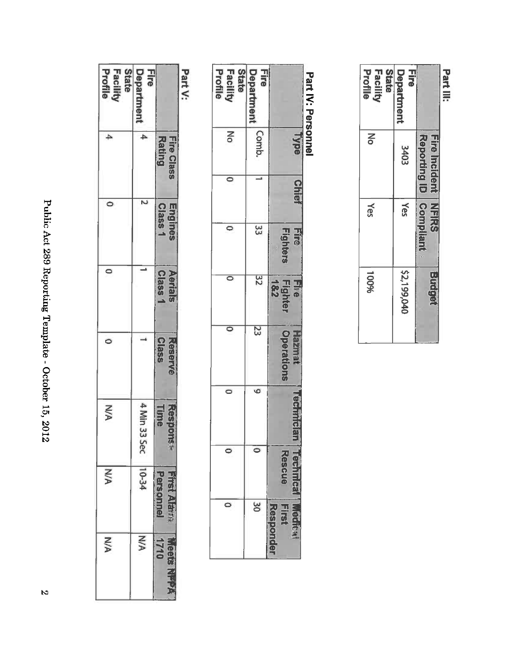| $\frac{1}{2}$                                                                                               |
|-------------------------------------------------------------------------------------------------------------|
| くくしに<br>֧֧֧֧ׅ֧֧֛֧֧֧֛֛֛֛֧֪֛֪֪֧֪֛֪֛֛֚֚֚֚֚֚֚֚֚֚֚֚֚֚֚֚֚֚֚֚֚֚֚֚֚֚֚֚֚֝֝֓֝֓֜֓֓֝֓֜֓֝֓֜֜֜֝֝֝<br>֧֛֛֛֧֛֪֪֪֪֛֚֚֜֜֝֟֜֝֟ |
| j<br>í                                                                                                      |
| E<br>Ì                                                                                                      |
| ١<br>くくくくし                                                                                                  |
| ίò,<br>į                                                                                                    |
| <b>Z10Z</b>                                                                                                 |

| .                                   |                             |                    |                    |                  |                  |                                     |                           |
|-------------------------------------|-----------------------------|--------------------|--------------------|------------------|------------------|-------------------------------------|---------------------------|
|                                     | <b>Rating</b><br>Fire Class | Engines<br>Class 1 | Aerials<br>Class 1 | Reserve<br>Class | Time<br>Response | <b>PERSONNE</b><br><b>Trst Alth</b> | 1710<br><b>Tects</b><br>Į |
| Fire<br>Department                  | 4                           | N                  |                    |                  | 4 Min 33 Sec     | 10-34                               | <b>N/A</b>                |
| Facility<br>Profile<br><b>State</b> | 4                           |                    | $\circ$            | $\circ$          | <b>N/A</b>       | NA                                  | <b>N/A</b>                |

Part V:

|                                     | <b>Type</b> | <b>Chien</b> | <b>HIE</b><br>Fighters | Fire<br>Fighter<br>182 | Hazma<br><b>Operations</b> | echnicial | <b>Kescue</b> | <b>Hirs</b> |
|-------------------------------------|-------------|--------------|------------------------|------------------------|----------------------------|-----------|---------------|-------------|
| Fire<br>Departmen                   | Comb.       |              | 33                     | 32                     | 23                         | 6         |               | δ           |
| <b>State</b><br>Facility<br>Profile | $\geq$      | 0            | $\circ$                | $\circ$                | $\circ$                    | $\circ$   | $\circ$       |             |

| State<br>Facility<br>Profile | <b>Hire</b><br>Department |                                                        | Part III: |
|------------------------------|---------------------------|--------------------------------------------------------|-----------|
| No                           | 3403                      | Reporting ID   Compilant<br><b>Fire Incident NFIRS</b> |           |
| Yes                          | Yes                       |                                                        |           |
| 100%                         | \$2,199,040               | Budget                                                 |           |

Part IV: Personnel

 $\mathcal{R}$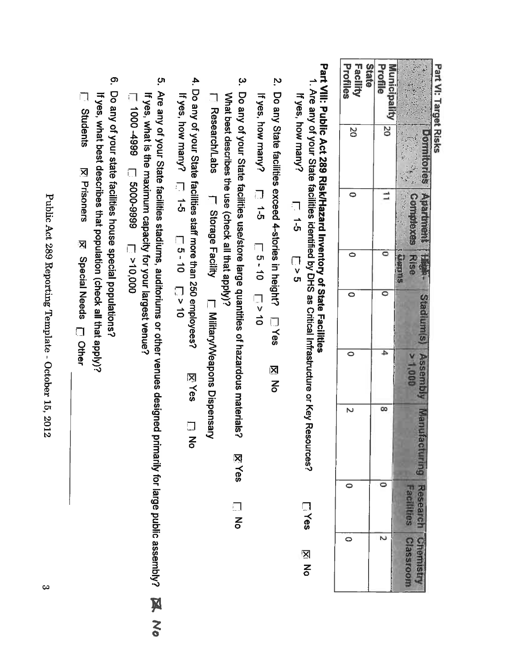| <b>Art</b><br>ί |
|-----------------|
|                 |
| ã               |
| ۱               |
| ≗               |
| rget            |
|                 |
|                 |
|                 |
|                 |
| Plisks          |
|                 |

| Profiles<br>Facility    | Profile<br>State<br><b>Allip</b> |                                           |
|-------------------------|----------------------------------|-------------------------------------------|
| δ                       | $\overline{50}$                  | <b>Section</b><br>$\sqrt{2}$<br>$\vec{e}$ |
| $\bullet$               | $\mathbf{I}$                     |                                           |
| $\bullet$               | $\circ$                          | <b>NSB</b>                                |
| $\bullet$               | $\overline{\circ}$               | s)<br>V                                   |
| $\overline{\circ}$      | 4                                |                                           |
| $\overline{\mathsf{N}}$ | $\infty$                         |                                           |
|                         |                                  |                                           |
|                         |                                  |                                           |

# Part VIII: Public Act 289 Risk/Hazard Inventory of State Facilities

- 1. Are any of your State facilities identified by DHS as Critical Infrastructure or Key Resources? If yes, how many?  $\frac{1}{6}$ <u>ា</u><br>-<br>-**Lives XI No**
- 2. Do any State facilities exceed 4-stories in height? [77es 区<br>No

If yes, how many?  $\Box$  1-5  $\Box$  1-5  $\Box$  2 10

- 3. Do any of your State facilities use/store large quantities of hazardous materials? What best describes the use (check all that apply)? **I\_ Research/Labs F\_ Storage Facility I\_\_ Military/Veapons Dispensary XYes**  $\frac{1}{5}$
- 4. Do any of your State facilities staff more than 250 employees? If yes, how many?  $\Box$  5 - 10  $\Box$  5 - 10 **XYes**  $\frac{1}{5}$
- 5. Are any of your State facilities stadiums, auditoriums or other venues designed primarily for large public assembly? If yes, what is the maximum capacity for your largest venue? 666+0001  $000'01 < \square$  6666-0009  $\square$
- <u>၈</u> Do any of your state facilities house special populations? If yes, what best describes that population (check all that apply)?

**E** Students **Z** Prisoners ⊠ Special Needs □ Other

Public Act 289 Reporting Template - October 15, 2012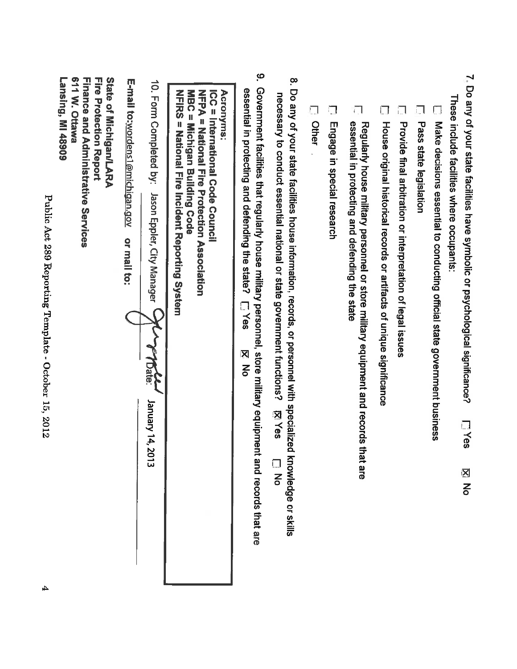| 611 W. Ottawa<br>State of Michigan/LARA<br>Lansing, MI 48909<br><b>Finance and Administrative Services</b><br><b>Fire Protection Report</b> | E-mail to: <u>wordens1@michigan.gov</u> | 10. Form Completed by:                                   | <b>NETRS</b><br>Acronyms<br>MBC = Michigan Building Code<br>NFPA = Mational Fire Protection Association<br>ICC = International Code Counci<br>= National Fire Incident Reporting System | ို<br>essential in protecting and defending the state?                                                                              |                                                                                                                                                                                                                               | $\Box$<br>Other<br>Engage in special research | essential in protecting and defending the state                                         |                                                                       | i., l                                                       | Pass state legislation                                                    | These include facilities where occupants:                                                                                      |
|---------------------------------------------------------------------------------------------------------------------------------------------|-----------------------------------------|----------------------------------------------------------|-----------------------------------------------------------------------------------------------------------------------------------------------------------------------------------------|-------------------------------------------------------------------------------------------------------------------------------------|-------------------------------------------------------------------------------------------------------------------------------------------------------------------------------------------------------------------------------|-----------------------------------------------|-----------------------------------------------------------------------------------------|-----------------------------------------------------------------------|-------------------------------------------------------------|---------------------------------------------------------------------------|--------------------------------------------------------------------------------------------------------------------------------|
|                                                                                                                                             | or mail to:                             | Jason Eppler, City Manager<br>7Date:<br>January 14, 2013 |                                                                                                                                                                                         | Government facilities that regularly house military personnel, store military equipment and records that are<br>LYes<br>Ķ<br>ट<br>ठ | 8. Do any of your state facilities house information, records, or personnel with specializec<br>necessary to conduct essential national or state government functions?<br><b>XYes</b><br>knowledge or skills<br>$\frac{1}{6}$ |                                               | Regularly house military personnel or store military equipment and records t<br>hat are | House original historical records or artifacts of unique significance | Provide final arbitration or interpretation of legal issues | Make decisions essential to conducting official state government business | 7. Do any of your state facilities have symbolic or psychological significance?<br>LYes<br>$\overline{\mathsf{x}}$<br><u>같</u> |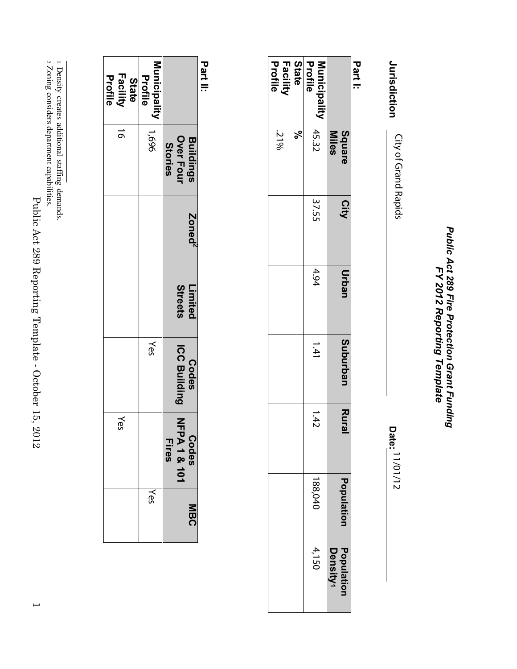Public Act 289 Fire Protection Grant Funding<br>FY 2012 Reporting Template *Public Act 289 Fire Protection Grant Funding FY 2012 Reporting Template*

Jurisdiction **Jurisdiction** City of Grand Rapids 11/01/12 City of Grand Rapids

**Date:**

**Part I:**

|                              | Square<br>Miles | City  | Urban | Suburban | Rural | <b>Population</b> | Population<br>Density1 |
|------------------------------|-----------------|-------|-------|----------|-------|-------------------|------------------------|
| Profile<br>Municipality      | 45.32           | 37.55 | 4.94  | 171      | 1.42  | 88,040            | 4,150                  |
|                              | $\aleph$        |       |       |          |       |                   |                        |
| State<br>Facility<br>Profile | 31%             |       |       |          |       |                   |                        |

**Part II:**

|                                            | <b>Buildings</b><br>Over Four<br><b>Stories</b> | Zoned <sup>2</sup> | Streets<br>Limited | <b>ICC Building</b><br>Codes | スカ<br>PA1&101<br>Codes<br><b>Fires</b> | ร<br>ติ |
|--------------------------------------------|-------------------------------------------------|--------------------|--------------------|------------------------------|----------------------------------------|---------|
| Municipality 1,696<br>Profile              |                                                 |                    |                    | Yes                          |                                        | Yes     |
| <b>Facility</b><br>Profile<br><b>State</b> | $\vec{0}$                                       |                    |                    |                              | kes                                    |         |

2 Zoning considers department capabilities.

<sup>1</sup> Density creates additional staffingdemands.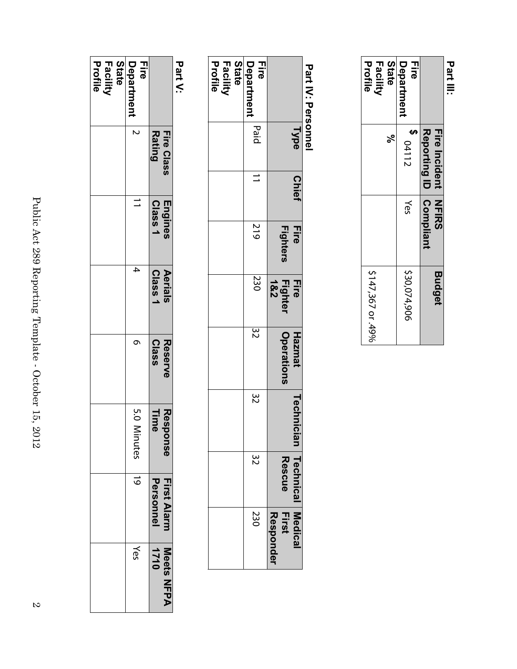|                                     | Reporting ID Compliant<br><b>Fire Incident NHKS</b> |     | <b>Budget</b>     |
|-------------------------------------|-----------------------------------------------------|-----|-------------------|
| Department<br>금교                    | $\frac{3}{2}$ 04112                                 | Yes | \$30,074,906      |
| Profile<br><b>Facility</b><br>State | ಸ್ಥ                                                 |     | \$147,367 or .49% |
|                                     |                                                     |     |                   |

# **Part IV: Personnel Part IV: Personnel**

# **Part V:**

| Profile<br>Facility<br><b>State</b> | Eire<br>Department |                                 |
|-------------------------------------|--------------------|---------------------------------|
|                                     | N                  | <b>Rating</b><br>Fire Class     |
|                                     |                    | Class <sub>1</sub><br>Engines   |
|                                     | 4                  | Class <sup>1</sup><br>Aerials   |
|                                     | ᡡ                  | <b>Class</b><br><b>Reserve</b>  |
|                                     | 5.0 Ninutes 19     | lime<br>Respc<br>pmse           |
|                                     |                    | <b>Personnel</b><br>First Alarm |
|                                     | Yes                | 11110<br>Meets NFPA             |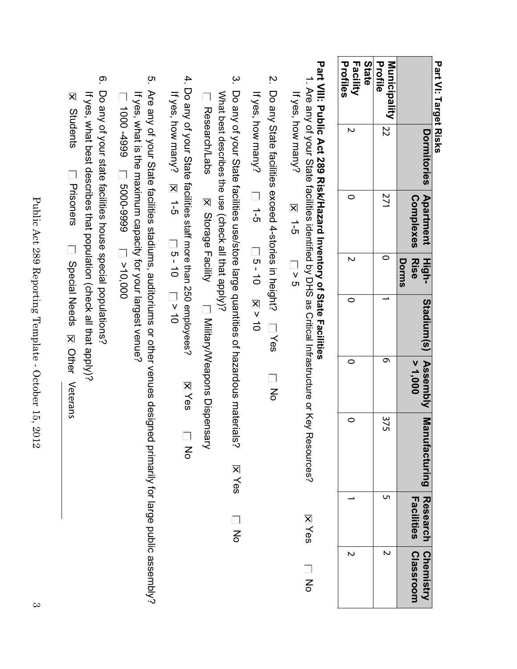Part VI: Target Risks **Part VI: Target Risks**

|                                    | Dormitories Apartment<br>due de la partment<br>Dormitories | <b>Complexes Rise</b> | Dorms | Stadium(s) Assembly Manu | > 1,000 |     | ufacturing Research Chemistry<br>Facilities | <b>Classroom</b> |
|------------------------------------|------------------------------------------------------------|-----------------------|-------|--------------------------|---------|-----|---------------------------------------------|------------------|
| Profile<br>$Municipality$ $ _{22}$ |                                                            | 271                   |       |                          |         | 375 | U                                           | N                |
| State<br>Profiles<br>Facility      | N                                                          |                       |       |                          |         |     |                                             | N                |
|                                    |                                                            |                       |       |                          |         |     |                                             |                  |

# Part VIII: Public Act 289 RisK/Hazard Inventory of State Facilities **Part VIII: Public Act 289 Risk/Haza rd Inventory of State Facilities**

| If yes, how many? |                                                                                                                                                                                            |
|-------------------|--------------------------------------------------------------------------------------------------------------------------------------------------------------------------------------------|
| t<br>5            |                                                                                                                                                                                            |
| <br>ט<br>ס        | "我们的人,我们就是一个人,我们的人,我们就是一个人,我们的人,我们就是一个人,我们的人,我们就是一个人,我们的人,我们就是一个人,我们的人,我们就是一个人,我们<br>1. Are any of your State facilities identified by DHS as Critical Infrastructure or Key Reso<br>urces |
|                   | <b>X</b> es                                                                                                                                                                                |
|                   | 종                                                                                                                                                                                          |

 $\overline{\mathcal{C}}$ 2. Do any State facilities exceed 4-stories in height? Do any State facilities exceed 4-stories in height? □ Yes No Yes  $\overline{a}$ 

If yes, how many?  $\Box$  1-5 If yes, how many? 1-5 コ 0 - 10 N V 10  $-9 - 10$   $\overline{2}$   $\overline{2}$   $\overline{2}$   $\overline{2}$   $\overline{2}$   $\overline{2}$   $\overline{2}$   $\overline{2}$   $\overline{2}$   $\overline{2}$   $\overline{2}$   $\overline{2}$   $\overline{2}$   $\overline{2}$   $\overline{2}$   $\overline{2}$   $\overline{2}$   $\overline{2}$   $\overline{2}$   $\overline{2}$   $\overline{2}$   $\overline{2}$   $\overline{2}$   $\overline{$ 

- $\omega$ 3. Do any of your State facilities use/store large quantities of hazardous materials? Do any of your State facilities use/store large quantities of hazardous materials? What best describes the use (check all that apply)? What best describes the use (check all that apply)? Research/Labs Research/Labs ⊠ Storage Facility | Military/Weapons Dispensary Storage Facility Military/Weapons Dispensary **Xes** No
- 4. Do any of your State facilities staff more than 250 employees? 4. Do any of your State facilities staff more than 250 employees? If yes, how many,  $\approx$  1-2  $\approx$  1-2  $\approx$  10  $\approx$  10 If yes, how many? 1-5 コ 5 - 10 コ v 10 **XYes** No Yes  $\overline{a}$
- ო. 5. Are any of your State facilities stadiums, auditoriums or other venues designed primarily for large public assembly? Are any of your State facilities stadiums, auditoriums or other venues designed primarily for large public assembly? If yes, what is the maximum capacity for your largest venue? If yes, what is the maximum capacity for your largest venue? 1000 -4999 D 5000-9999 D >10,000 1000 -4999 5000-9999
- <u>ှာ</u> 6. Do any of your state facilities house special populations? Do any of your state facilities house special populations? If yes, what best describes that population (check all that apply)? If yes, what best describes that population (check all that apply)?
- **N** Students Students **Frisoners** Prisoners Prisoners Prisoners Decial Needs **EQ Other Veterans** Veterans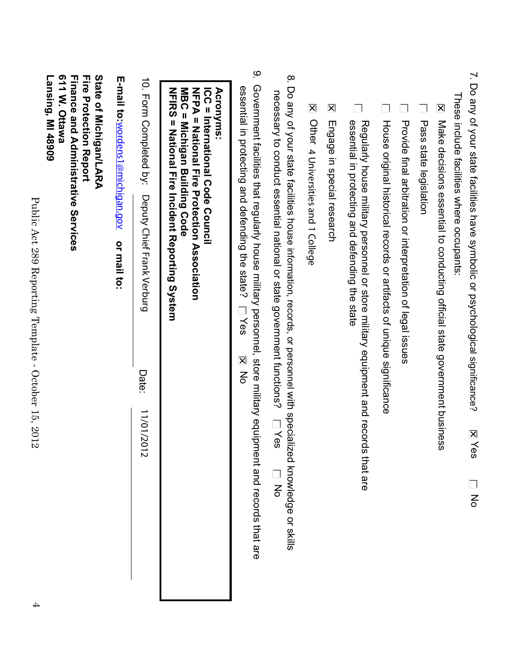| 7. Do any of your state facilities have symbolic or psychological significance?<br>$\overline{\mathsf{x}}$<br>es<br>$\overline{5}$                                                                                                   |
|--------------------------------------------------------------------------------------------------------------------------------------------------------------------------------------------------------------------------------------|
| These include facilities where occupants:                                                                                                                                                                                            |
| $\overline{\mathsf{x}}$<br>Make decisions essential to conducting official state government business                                                                                                                                 |
| Pass state legislation                                                                                                                                                                                                               |
| Provide final arbitration or interpretation of legal issues                                                                                                                                                                          |
| House original historical records or artifacts of unique significance                                                                                                                                                                |
| essential in protecting and defending the state<br>Regularly house military personnel or store military equipment and records that are                                                                                               |
| $\overline{\mathsf{x}}$<br>Engage in special research                                                                                                                                                                                |
| $\overline{\mathsf{x}}$<br>Other 4 Universities and 1 College                                                                                                                                                                        |
| $\infty$<br>Do any of your state facilities house information, records, or personnel with specialized knowledge or skills<br>necessary to conduct essential national or state government functions?<br><b>Lives</b><br>$\frac{1}{6}$ |
| <u>م</u><br>Government facilities that regularly house military personnel, store military equipment and records that are<br>essential in protecting and defending the state?<br>Yes<br><b>NO</b>                                     |
| NFIRS = National Fire Incident Reporting System<br>NFPA = National Fire Protection Association<br>MBC = Michigan Building Code<br><b>ICC = International Code Council</b><br><b>Acronyms:</b>                                        |
| 10. Form Completed by:<br>Deputy Chief Frank Verburg<br>Date:<br>11/01/20<br>$\frac{1}{2}$                                                                                                                                           |
| E-mail to: wordens1@michigan.gov<br>or mail to:                                                                                                                                                                                      |
| 611 W. Ottawa<br>State of Michigan/LARA<br><b>Finance and Administrative Services</b><br><b>Fire Protection Report</b><br>Lansing, MI 48909                                                                                          |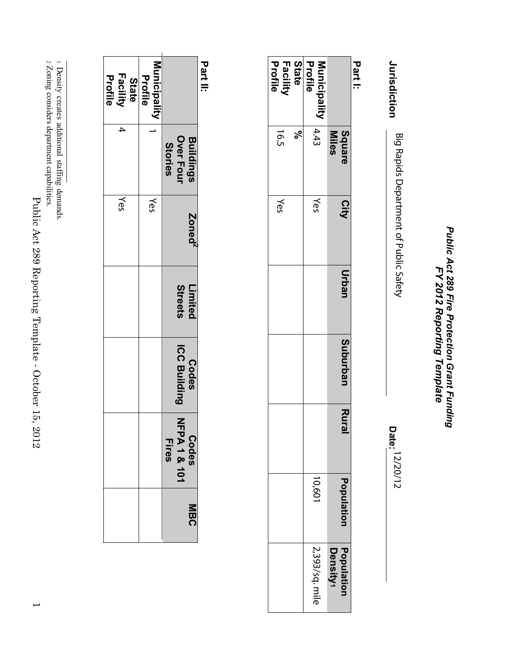Public Act 289 Fire Protection Grant Funding<br>FY 2012 Reporting Template *Public Act 289 Fire Protection Grant Funding FY 2012 Reporting Template*

Jurisdiction **Jurisdiction** Big Rapids Department of Public Safety 12/20/12 Big Rapids Department of Public Safety

**Date:**

**Part I:**

|                              | <b>Square</b><br>Miles | City | Urban | Suburban | Rural | Population | Population<br>Density1 |
|------------------------------|------------------------|------|-------|----------|-------|------------|------------------------|
| Profile<br>Municipality 4.43 |                        | Yes  |       |          |       | 109'01     | 2,393/sq. mile         |
| <b>State</b>                 | ಸ್                     |      |       |          |       |            |                        |
| <b>Facility</b><br>Profile   | $-16.5$                | Yes  |       |          |       |            |                        |

**Part II:**

| <br> <br> <br>                             |                                                 |                    |                    |                              |                                                    |         |
|--------------------------------------------|-------------------------------------------------|--------------------|--------------------|------------------------------|----------------------------------------------------|---------|
|                                            | <b>Buildings</b><br>Over Four<br><b>Stories</b> | Zoned <sup>2</sup> | Streets<br>Limited | <b>ICC Building</b><br>Codes | $\frac{2}{1}$<br>PA18.101<br>Codes<br><b>Fires</b> | この<br>四 |
| Municipality<br>Profile                    |                                                 | Yes                |                    |                              |                                                    |         |
| <b>Facility</b><br>Profile<br><b>State</b> |                                                 | Yes                |                    |                              |                                                    |         |

2 Zoning considers department capabilities.

<sup>&</sup>lt;sup>2</sup> Zoning considers department capabilities. 1 Density creates additional staffingdemands.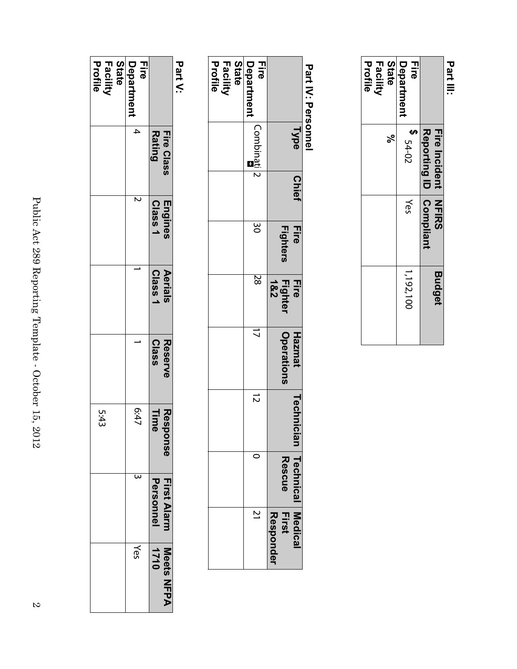|                                     | Reporting ID Compliant<br><b>Tire Incident NHIRS</b> |     | <b>Budget</b> |
|-------------------------------------|------------------------------------------------------|-----|---------------|
| Department<br>급                     | $24 - 02$                                            | Yes | 1,192,100     |
| Profile<br><b>Facility</b><br>State | $\epsilon$                                           |     |               |
|                                     |                                                      |     |               |

# Part IV: Personnel  **Part IV: Personnel**

|                                            | Type<br> | Chief | <b>Fire</b><br><b>Fighters</b> | Fighter<br><b>Fire</b><br>1&2 | <b>Operations</b><br><b>Hazmat</b> | Technician Technical Medical | Rescue | <b>First</b><br>Responder |
|--------------------------------------------|----------|-------|--------------------------------|-------------------------------|------------------------------------|------------------------------|--------|---------------------------|
| <b>Fire</b><br>Department                  | Combinat |       | 30                             | $\overline{\mathbb{S}}$       | $\vec{\mathcal{L}}$                | $\vec{z}$                    |        |                           |
| <b>State</b><br><b>Facility</b><br>Profile |          |       |                                |                               |                                    |                              |        |                           |

# **Part V:**

|                                     | <b>Rating</b><br>Fire Class | Engines<br>Class 1 | Class <sub>1</sub><br>Aerials | <b>Class</b><br>Reserve | Respo<br>lime<br>USO | Personnel<br>First Alarm | <b>Meets NFPA</b><br>1710 |
|-------------------------------------|-----------------------------|--------------------|-------------------------------|-------------------------|----------------------|--------------------------|---------------------------|
| <b>Hire</b><br>Department           | $\overline{4}$              | J<br>N             |                               |                         | 75:47                |                          | Yes                       |
| <b>State</b><br>Profile<br>Facility |                             |                    |                               |                         | 5:43                 |                          |                           |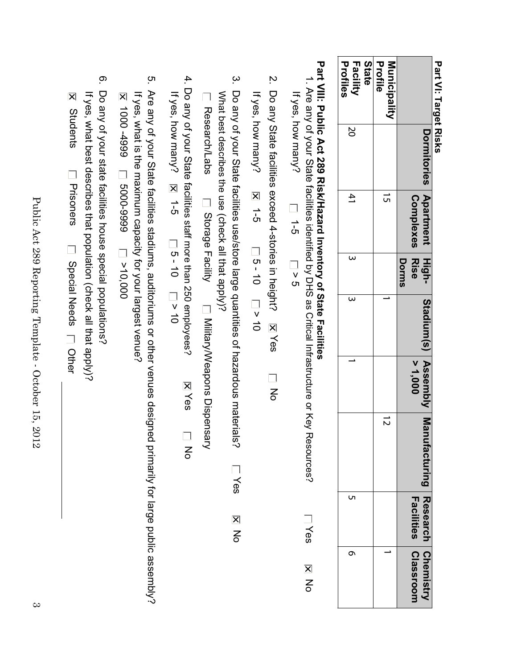Part VI: Target Risks **Part VI: Target Risks**

| Profile<br><b>Municipality</b><br>ີ ຕ<br>$\vec{v}$ | > 1,000 | Facilities l<br><b>Classroom</b> |
|----------------------------------------------------|---------|----------------------------------|
|                                                    |         |                                  |
| Profiles<br>State<br>Facility<br>20<br>싄<br>ω<br>л |         | ᡡ                                |

# Part VIII: Public Act 289 Risk/Hazard Inventory of State Facilities **Part VIII: Public Act 289 Risk/Haza rd Inventory of State Facilities**

- 1. Are any of your State facilities identified by DHS as Critical Infrastructure or Key Resources? 1. Are any of your State facilities identified by DHS as Critical Infrastructure or Key Resources? If yes, how many? If yes, how many?  $\frac{1}{6}$  $\overline{q}$ Yes **No**
- $\dot{z}$ 2. Do any State facilities exceed 4-stories in height? No Yes  $\overline{a}$

If yes, how many? If yes, how many?  $\overline{R}$  1-5 1-5 コ 5 - 10 コ > 10  $\frac{1}{2}$  0  $\frac{1}{2}$  0  $\frac{1}{2}$  0  $\frac{1}{2}$ 

- $\omega$ 3. Do any of your State facilities use/store large quantities of hazardous materials? Do any of your State facilities use/store large quantities of hazardous materials? What best describes the use (check all that apply)? What best describes the use (check all that apply)? Research/Labs Research/Labs Dispensant Dilitary/Weapons Dispensary Storage Facility Military/Weapons Dispensary **Nes No**
- 4. Do any of your State facilities staff more than 250 employees? 4. Do any of your State facilities staff more than 250 employees? If yes, how many? If yes, how many? **N** 1-5 1 5 - 10 1 v 10 1-5 コ 5 - 10 コ v 10 **XYes** No Yes  $\overline{a}$
- ო. 5. Are any of your State facilities stadiums, auditoriums or other venues designed primarily for large public assembly? Are any of your State facilities stadiums, auditoriums or other venues designed primarily for large public assembly? If yes, what is the maximum capacity for your largest venue? N 1000 -4999 D 5000-9999 D >10,000 If yes, what is the maximum capacity for your largest venue? 1000 -4999 5000-9999
- <u>ှာ</u> 6. Do any of your state facilities house special populations? Do any of your state facilities house special populations? If yes, what best describes that population (check all that apply)? **X** Students If yes, what best describes that population (check all that apply)? Students **Next**<br>
Prisoners Prisoners Prisoners Prisoners Decial Needs Diher

Public Act 289 Reporting Template - October 15, 2012 Public Act 289 Reporting Template - October 15, 2012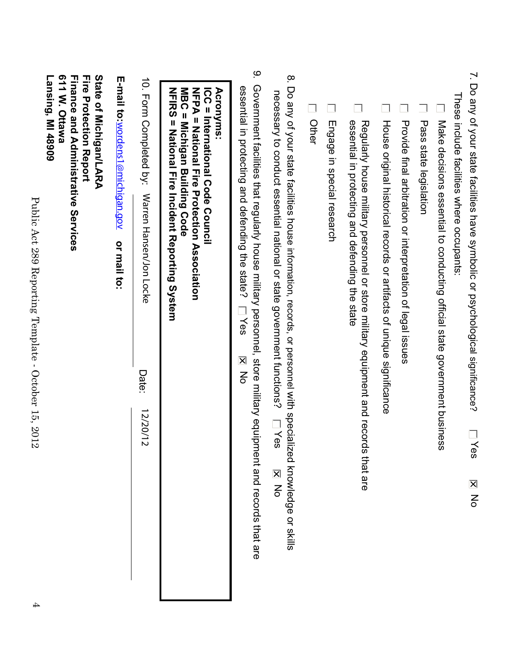| 7. Do any of your state facilities have symbolic or psychological significance?<br>These include facilities where occupants:<br>Yes<br><b>N</b><br>No                                                                              |
|------------------------------------------------------------------------------------------------------------------------------------------------------------------------------------------------------------------------------------|
| Make decisions essential to conducting official state government business                                                                                                                                                          |
| Pass state legislation                                                                                                                                                                                                             |
| Provide final arbitration or interpretation of legal issues                                                                                                                                                                        |
| House original historical records or artifacts of unique significance                                                                                                                                                              |
| essential in protecting and defending the state<br>Regularly house military personnel or store military equipment and records that are                                                                                             |
| Engage in special research                                                                                                                                                                                                         |
| Other                                                                                                                                                                                                                              |
| 8. Do any of your state facilities house information, records, or personnel with specialized knowledge or skills<br>necessary to conduct essential national or state government functions?<br>$\Box$ Yes<br><b>X</b><br>No         |
| <u>م</u><br>Government facilities that regularly house military personnel, store military equipment and records that are<br>essential in protecting and defending the state?<br>Yes<br>$\overline{\mathsf{x}}$<br>$rac{1}{\sigma}$ |
| NFIRS = National Fire Incident Reporting<br><b>Acronyms:</b><br>MBC = Michigan Building Code<br>NFPA = National Fire Protection Association<br><b>ICC = International Code Council</b><br>System                                   |
| 10. Torm Completed py:<br>Warren Hansen/Jon Locke<br>Date:<br>12/20/12                                                                                                                                                             |
| E-mail to: wordens1@michigan.gov<br>or mail to:                                                                                                                                                                                    |
| 611 W. Ottawa<br>State of Michigan/LARA<br><b>Tire Protection Report</b><br>Lansing, MI 48909<br><b>Finance and Administrative Services</b>                                                                                        |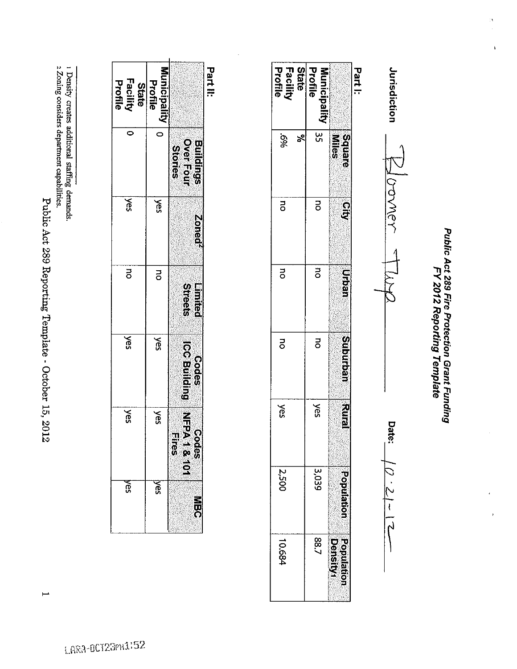Public Act 289 Reporting Template - October 15, 2012

 $\mapsto$ 

2 Zoning considers department capabilities.

1 Density creates additional staffing demands.

| Facility<br>Profile | Municipality<br>Profile<br>State | Part II:                                                   |
|---------------------|----------------------------------|------------------------------------------------------------|
|                     | $\bar{\circ}$                    | <b>Buildings</b><br>OverFour<br>Stories                    |
| š                   | š                                | Zoned                                                      |
| ă                   | ō                                | Streets<br><b>Elmited</b>                                  |
| ă                   | <b>Nes</b>                       | <b>Dodes</b><br>ICC Building                               |
| š                   | Šes                              | 2<br>同<br>四<br>四元<br>のの<br><b>Odes</b><br>ี<br>คริก<br>คริ |
| င္ဟ                 | ξ\$                              | こ<br>CSC                                                   |

LARA-0CT23PN1:52

Public Act 289 Fire Protection Grant Funding<br>FY 2012 Reporting Template

 $\frac{1}{2}$ 

 $\ddot{\phantom{1}}$ 

Jurisdiction COVNEY Date:  $\overline{C}$  . 21  $\overline{C}$ ہے<br>س

Part I:

Facility<br>Profile **State** 

%9

 $\overline{a}$ 

 $\overline{a}$ 

 $\overline{a}$ 

**Xes** 

 $|2,500$ 

10.684

 $\mathcal{S}_{\mathbf{c}}$ 

Profile

Municipality

 $rac{6}{5}$ 

 $\overline{a}$ 

 $\overline{a}$ 

 $\overline{5}$ 

**Nes** 

3,039

 $28.7$ 

**Niles** 

Square

 $\frac{1}{2}$ 

**Urban** 

Suburban

**Zumah** 

Population

Population **Density**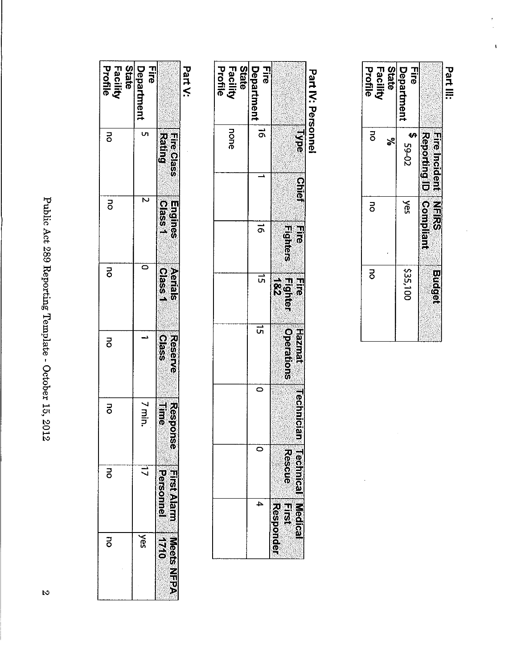| <b>State</b><br>Facility<br>Profile | Department<br><b>Fire</b> |                                    | Part V: | State<br>Facility<br>Profile | Department<br>Eire |                                                                         | Part IV: Personnel |
|-------------------------------------|---------------------------|------------------------------------|---------|------------------------------|--------------------|-------------------------------------------------------------------------|--------------------|
| $\overline{5}$                      | U)                        | <b>Fire Class</b><br><b>Rating</b> |         | none                         | $\vec{0}$          | <b>Dype</b><br><b>Chief</b>                                             |                    |
| $\overline{5}$                      | Z                         | Engines<br><b>Dass</b>             |         |                              | $\vec{p}$          | <b>Fighters</b><br>$\frac{1}{6}$                                        |                    |
| 궁                                   | 0                         | Aerials<br>Class1                  |         |                              | ີທ                 | Fire<br>Fighter<br>182                                                  |                    |
| ō                                   |                           | <b>Reserve</b><br><u>ଚ</u><br>အ    |         |                              | ᇚ<br>0             | Operations<br><b>Haznat</b>                                             |                    |
| ō                                   | $7 \text{ min.}$          | Response<br>言品                     |         |                              | o                  | Technician                                                              |                    |
| 5                                   | コ                         | FretAlam<br>Personnel              |         |                              | 4                  | <b>Technical Medical</b><br><b>Resoue</b><br>$\frac{1}{2}$<br>Responder |                    |
| ō                                   | <b>Nes</b>                | Meets NFPA<br>$\frac{1}{2}$        |         |                              |                    |                                                                         |                    |

 $\bar{\mathbf{t}}$ 

State<br>Facility<br>Profile

 $|$ 

**DD** 

 $\overline{a}$ 

 $\ddot{\phantom{0}}$ 

**Fire** 

Part III:

**Department** 

 $20 - 65$ \$

 $\overline{\mathbf{y}}$ 

335,100

 $\leq$ 

Fire Incident NFIRS<br>Reporting ID Compliant

**Budget** 

Public Act 289 Reporting Template - October 15, 2012

 $\mathcal{R}$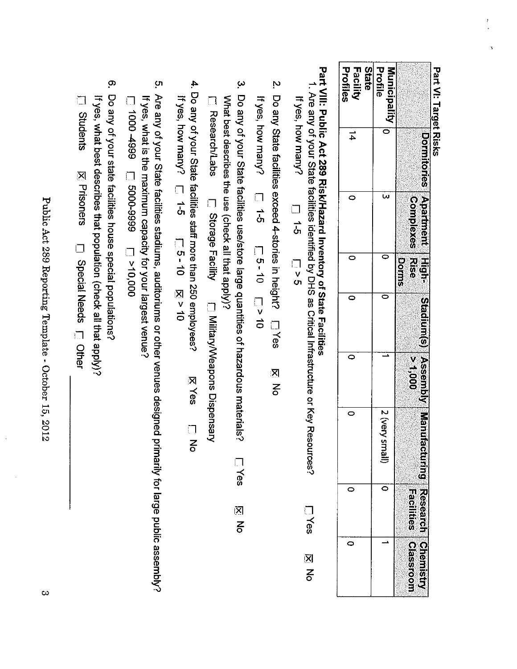| ŋ      |    |  |
|--------|----|--|
|        |    |  |
|        |    |  |
|        | L  |  |
| ו<br>י |    |  |
|        |    |  |
|        |    |  |
|        |    |  |
| ۹      |    |  |
|        |    |  |
|        |    |  |
|        |    |  |
|        |    |  |
|        |    |  |
|        |    |  |
|        |    |  |
|        |    |  |
|        |    |  |
| 읙      |    |  |
|        |    |  |
|        |    |  |
| යි     |    |  |
|        |    |  |
|        |    |  |
| ቧ      |    |  |
|        |    |  |
|        |    |  |
|        |    |  |
|        | IJ |  |
| Ģ.     |    |  |
|        |    |  |
|        |    |  |
|        |    |  |
|        | ī  |  |
| ڿ      |    |  |
|        |    |  |
|        |    |  |
|        |    |  |
|        |    |  |
|        |    |  |

| <b>Profiles</b><br><b>State</b><br><b>Facility</b> | Profile<br>Municipality   0 |                                    |
|----------------------------------------------------|-----------------------------|------------------------------------|
| $\frac{1}{4}$                                      |                             | Dormitories Apartment High-        |
| 0                                                  |                             | Complexes Rise                     |
|                                                    |                             | Dorms                              |
|                                                    |                             | Stadium(s) Assembly Manufa         |
| 0                                                  |                             | $rac{v}{60}$                       |
|                                                    | 2 (very s<br>llamall        | <u>ဖ</u><br>ဩ                      |
|                                                    |                             | ng Researcl<br><b>Eaclities</b>    |
| 0                                                  |                             | <b>Chemist</b><br><b>Classroon</b> |

Part VIII: Public Act 289 Risk/Hazard Inventory of State Facilities

l. Are any of your State facilities identified by DHS as Critical Infrastructure or Key Resources? If yes, how many?  $\begin{array}{c}\n\Box \\
\Box \\
\Lambda\n\end{array}$  $\frac{1}{\sqrt{2}}$ **LYes** 지 지

Ņ Do any State facilities exceed 4-stories in height? [7 Yes 図る

If yes, how many?  $\frac{1}{5}$  $\begin{bmatrix} -9 & -10 & -10 \\ -9 & -10 & -10 \end{bmatrix}$ 

- $\omega$ Do any of your State facilities use/store large quantities of hazardous materials? What best describes the use (check all that apply)? L Research/Labs Lilly Disperse Lacility Conservers Dispersary **Lives** 図名
- 4. Do any of your State facilities staff more than 250 employees? If  $\sqrt{9}$ , how many, □ 1-5 □ 5-10 ⊠  $\times$  10 **KYes**  $\frac{1}{6}$
- ຸຕ Are any of your State facilities stadiums, auditoriums or other venues designed primarily for large public assembly? If yes, what is the maximum capacity for your largest venue?

 $000'01 < \Box$  6666-0009  $\Box$  666+ 0001  $\Box$ 

<u>ဇှာ</u> Do any of your state facilities house special populations? If yes, what best describes that population (check all that apply)?

Students **X** Prisoners Decial Needs <sub>III</sub> Other

Public Act 289 Reporting Template - October 15, 2012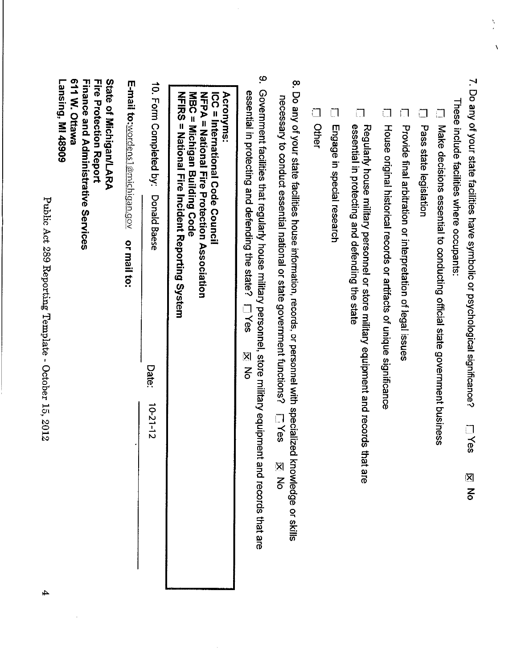$\frac{1}{2}$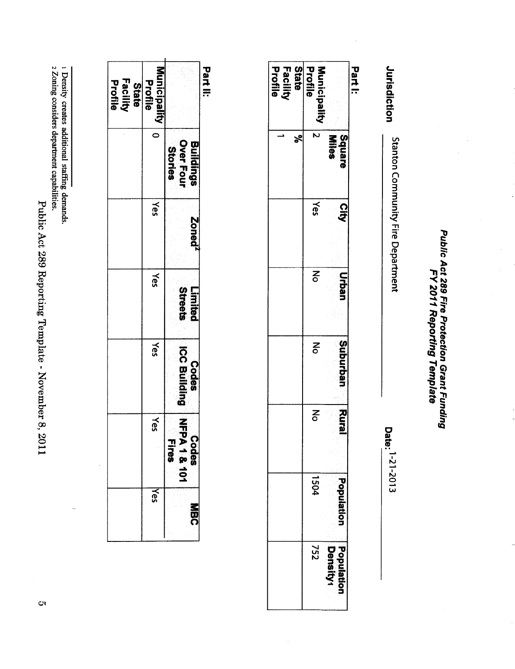Public Act 289 Reporting Template - November 8, 2011

1 Density creates additional staffing demands.<br>2 Zoning considers department capabilities.

| <b>Facility</b><br>Profile | <b>Municipality</b><br>Profile<br>State |                                       | <b>Part II:</b> |
|----------------------------|-----------------------------------------|---------------------------------------|-----------------|
|                            |                                         | Buildings<br>Over Four<br>Stories     |                 |
|                            | <b>Yes</b>                              | Zoned <sup>-</sup>                    |                 |
|                            | Yes                                     | <b>Streets</b><br>Limited             |                 |
|                            | Yes                                     | <b>ICC Building</b><br><b>Codes</b>   |                 |
|                            | Yes                                     | 三五九<br>င့်<br>1018<br>18101<br>.<br>თ |                 |
|                            | Yes                                     | 市り                                    |                 |

| State<br><b>Facility</b><br>Profile<br>\$ | Profile<br>Municipality<br>$\overline{5}$ | Square<br><b>Miles</b>   | Part I: |
|-------------------------------------------|-------------------------------------------|--------------------------|---------|
|                                           | Yes                                       | $\frac{1}{2}$            |         |
|                                           | 중                                         | <b>urban</b>             |         |
|                                           | <u>ਟ</u>                                  | <b>Suburban</b>          |         |
|                                           | 중                                         | <b>Rural</b>             |         |
|                                           | 1504                                      | Joneindo                 |         |
|                                           | 757                                       | <b>Hopulati</b><br>lisns |         |

Jurisdiction

Stanton Community Fire Department

Date: 1-21-2013

Public Act 289 Fire Protection Grant Funding<br>FY 2011 Reporting Template

 $\sigma$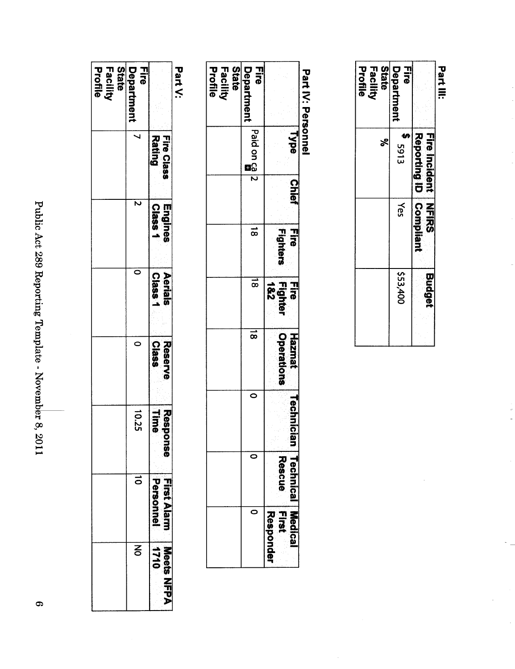| ŗ<br>さくしゃく トキく<br>2891          |
|---------------------------------|
| $200-7$<br>j<br>j<br>ı          |
| ì<br>Ì<br>; ; ; ; ; ; ; ; ; ; ; |
| . NUVELLUEL O,<br>ı             |
| ١<br>TTOZ                       |

| <b>State</b><br>Profile<br>Facility | 급<br>Departmen |                                | - Sie < < < |
|-------------------------------------|----------------|--------------------------------|-------------|
|                                     | J              | Fire Class<br>Rati             |             |
|                                     | Ν              | <u>ာက္</u><br><b>Sang</b>      |             |
|                                     |                | Class<br>Aerials               |             |
|                                     | 0              | <b>Class</b><br><b>Reserve</b> |             |
|                                     | 10.25          | <b>Seperator</b><br>Ö<br>O     |             |
|                                     | au             | ミスワープ<br>$\frac{1}{2}$<br>é    |             |
|                                     | ξ              | ଚ<br>ଘ∂ଘ<br>                   |             |

Part V:

| <b>Dart IV: Dersornel</b>                  |                                      |              |                            |                        |                                    |                   |                       |                |
|--------------------------------------------|--------------------------------------|--------------|----------------------------|------------------------|------------------------------------|-------------------|-----------------------|----------------|
|                                            | <b>Npe</b>                           | <b>Chief</b> | <b>Fighters</b><br>m<br>Ji | Fire<br>Fighter<br>1&2 | <b>Operations</b><br><b>Hazmat</b> | <b>Technicial</b> | てのこの<br>e<br>Sc<br>្ល | Medica<br>CSDO |
| <b>Hire</b><br>Department                  | $\frac{1}{1}$ Paid on $\frac{1}{12}$ |              | $\vec{\infty}$             | စြ                     | $\overline{\infty}$                |                   |                       |                |
| <b>State</b><br><b>Facility</b><br>Profile |                                      |              |                            |                        |                                    |                   |                       |                |

| State<br>Facility<br>Š | Department<br><b>Fire</b><br><b>a</b> 5913<br>Yes | Reporting ID   Compliant<br>Fire Incident<br>NH元の | <b>Part III:</b> |
|------------------------|---------------------------------------------------|---------------------------------------------------|------------------|
|                        | \$53,400                                          | <b>Budget</b>                                     |                  |

 $\bullet$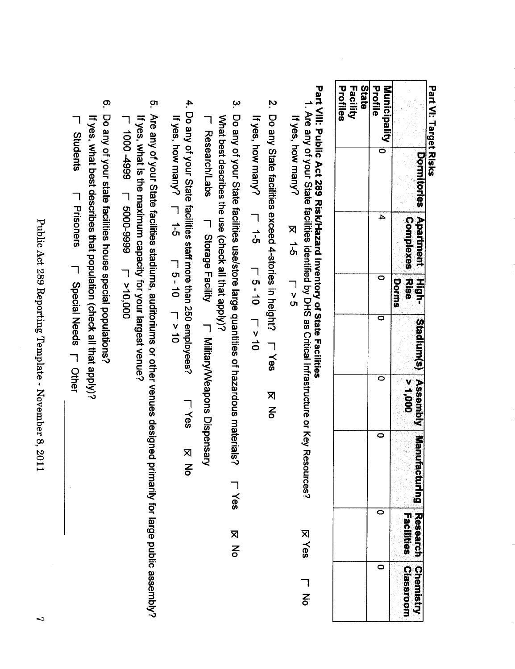| <b>Profiles</b><br>Facility<br>State | Profile<br>Municipality |                            |
|--------------------------------------|-------------------------|----------------------------|
|                                      | c                       | <b>HEONISS</b>             |
|                                      | 4                       | Apartmen<br>Complexes Rise |
|                                      | ¢                       | $\frac{1}{5}$<br>Dorms     |
|                                      | c                       | IStadium(s)                |
|                                      |                         | <b>I Assem</b>             |
|                                      | c                       | bly   Manufa               |
|                                      |                         |                            |
|                                      | ¢                       | igssi                      |

Part VI: Target Risks

Part VIII: Public Act 289 Risk/Hazard Inventory of State Facilities

1. Are any of your State facilities identified by DHS as Critical Infrastructure or Key Resources? If yes, how many?  $\times$  5-5  $\begin{array}{c}\n\hline\n\end{array}$ **KYes** ヿ<br>る

2. Do any State facilities exceed 4-stories in height? [T Yes **K** No

If yes, how many?<br>
If yes, how many? T 5-40<br>
T 5-40

3. Do any of your State facilities use/store large quantities of hazardous materials? What best describes the use (check all that apply)? **LYes No** 

**T**<br>Research/Labs I Military/Veapons Dispensary

- 4. Do any of your State facilities staff more than 250 employees? L Yes **IX No**
- If yes, how many?  $\Gamma$  1-5  $7 - 5 - 10$ <br> $7 - 10$
- ო. Are any of your State facilities stadiums, auditoriums or other venues designed primarily for large public assembly? If yes, what is the maximum capacity for your largest venue?
- L 1000 4999 L 5000-9999 L >10,000
- <u>ဇ</u> Do any of your state facilities house special populations? If yes, what best describes that population (check all that apply)?
- **T**<br>Students **T**<br>Prisoners **F** Special Needs **F** Other

Public Act 289 Reporting Template - November 8, 2011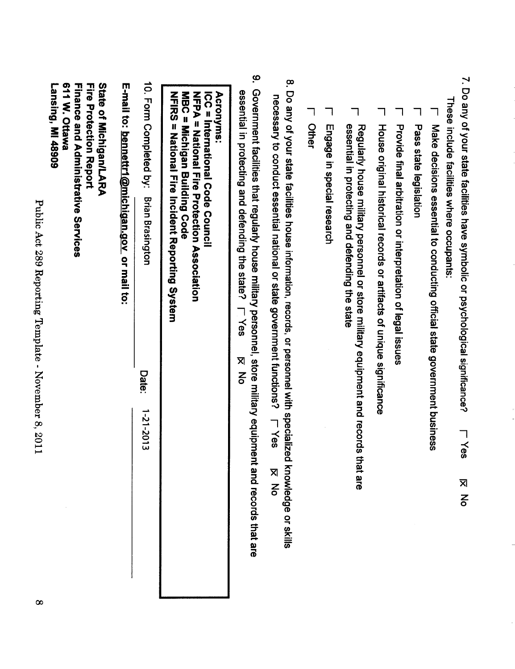| 7. Do any of your state facilities have symbolic or psychological significance?                                                                                                                  |
|--------------------------------------------------------------------------------------------------------------------------------------------------------------------------------------------------|
| These include facilities where occupants:                                                                                                                                                        |
| Make decisions essential to conducting official state government business                                                                                                                        |
| Pass state legislation                                                                                                                                                                           |
| Provide final arbitration or interpretation of legal issues                                                                                                                                      |
| House original historical records or artifacts of unique significance                                                                                                                            |
| essential in protecting and defending the state<br>Regularly house military personnel or store military equipment and records t                                                                  |
| Engage in special research                                                                                                                                                                       |
| Other                                                                                                                                                                                            |
| 8. Do any of your state facilities house information, records, or personnel with specialized<br>necessary to conduct essential national or state government functions?                           |
| <u>့ဝ</u><br>Government facilities that regularly house military personnel, store military equipment and records that are<br>essential in protecting and defending the state?<br>– Yes<br>X<br>z |
| <b>Acronyms:</b><br>NH元の<br>MBC = Michigan Building Code<br>NFPA = National Fire Protection Association<br><b>ICC = International Code Cocnomic</b><br>= National Fire Incident Reporting System |
| 10. Form Completed by:<br><b>Brian Brasington</b><br><b>Date:</b>                                                                                                                                |
| E-mail to: <u>bennettr1@michigan.gov_</u> or mail to:                                                                                                                                            |
| 611 W. Ottawa<br><b>Finance and Administrative Services</b><br><b>Fire Protection Report</b><br><b>State of Michigan/LARA</b><br>Lansing, MI 48909                                               |

 $\ddot{\phantom{0}}$ 

ł,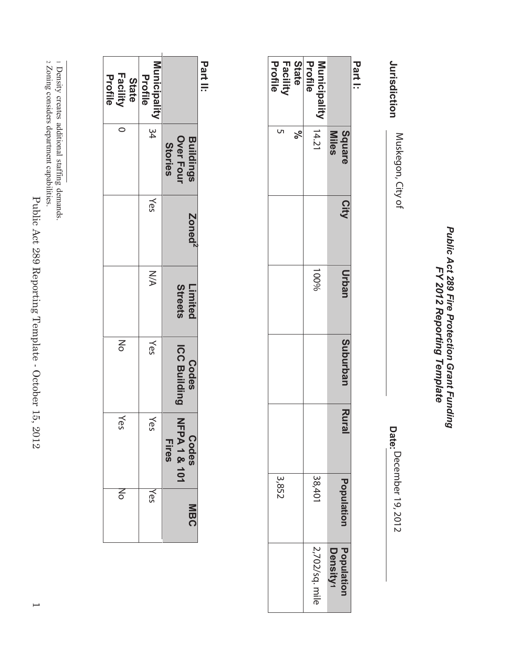Public Act 289 Fire Protection Grant Funding<br>FY 2012 Reporting Template *Public Act 289 Fire Protection Grant Funding FY 2012 Reporting Template*

Jurisdiction **Jurisdiction** Muskegon, City of

**Date:** December 19, 2012 December 19, 2012 Muskegon, City of

**Part I:**

| <b>State</b><br><b>Facility</b><br>Profile<br>Profile<br>Municipality   14.21<br>ঌ৾<br>Miles<br>100%<br>3,852<br>38,401<br>2,702/sq. mile<br>Population<br>Density1 | <b>Square</b> | City | Urban | <b>Suburbar</b> | <b>Rura</b> | Population |  |
|---------------------------------------------------------------------------------------------------------------------------------------------------------------------|---------------|------|-------|-----------------|-------------|------------|--|
|                                                                                                                                                                     |               |      |       |                 |             |            |  |
|                                                                                                                                                                     |               |      |       |                 |             |            |  |
|                                                                                                                                                                     |               |      |       |                 |             |            |  |
|                                                                                                                                                                     |               |      |       |                 |             |            |  |

**Part II:**

| <b>Facility</b><br>Profile<br>State<br>0 | Municipality 34<br>Profile<br>Yes<br>N/A | <b>Buildings</b><br>Over Four<br>Stories<br>Zoned <sup>2</sup><br>Streets<br>Limited |  |
|------------------------------------------|------------------------------------------|--------------------------------------------------------------------------------------|--|
| $\leq$                                   | Yes                                      | <b>ICC Building</b><br><b>Codes</b>                                                  |  |
| Yes                                      | Yes                                      | 乙丁<br>Codes<br><b>Fires</b><br>A 1 & 101                                             |  |
| ξ                                        | Yes                                      | <b>MBC</b>                                                                           |  |

Zoning considers department capabilities.

اب<br>سا Density creates additional staffing demands.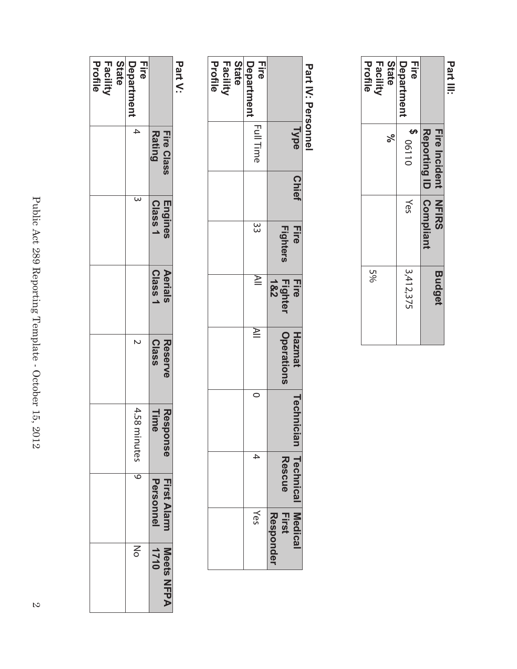| <b>Fire Incident NFIRS</b><br>Reporting ID   Compliant | <b>Budget</b> |
|--------------------------------------------------------|---------------|
| Department<br>コミの<br>1800110<br>Yes                    | 3,412,375     |
| <b>State</b><br>Profile<br>Facility<br>ಸಿ              | 5%            |

# Part IV: Personnel  **Part IV: Personnel**

|                                            | Type             | <b>Chief</b> | <b>Fire</b><br><b>Fighters</b> | <b>Fighter</b><br><b>Fire</b><br>1&2 | <b>Operations</b><br><b>Hazmat</b> | Technic | ian Technical Medica<br>Rescue | <b>First</b><br><b>Hesponde</b> |
|--------------------------------------------|------------------|--------------|--------------------------------|--------------------------------------|------------------------------------|---------|--------------------------------|---------------------------------|
| Department<br><b>Fire</b>                  | <b>Full Time</b> |              | $\frac{33}{3}$                 | $\cong$                              | ≧                                  |         | $\ddot{}$                      | λes                             |
| <b>State</b><br><b>Facility</b><br>Profile |                  |              |                                |                                      |                                    |         |                                |                                 |

# **Part V:**

|                                     | <b>Rating</b><br>Fire Class | Class 1<br>Engines | Class <sup>,</sup><br>Aerials | <b>Class</b><br><b>Reserve</b> | Time<br>Respo<br>DSe | First Alarm<br><b>Personnel</b> | 1710<br>Meets NFPA |
|-------------------------------------|-----------------------------|--------------------|-------------------------------|--------------------------------|----------------------|---------------------------------|--------------------|
| <b>Lire</b><br>Department           | 4                           | ω                  |                               | N                              | 4.58 minutes         | $\overline{\circ}$              | $\leq$             |
| Profile<br>Facility<br><b>State</b> |                             |                    |                               |                                |                      |                                 |                    |
|                                     |                             |                    |                               |                                |                      |                                 |                    |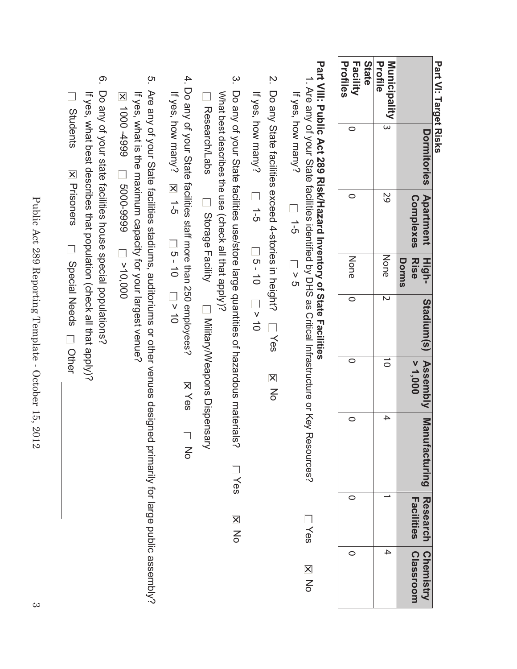Part VI: Target Risks **Part VI: Target Risks**

|                                                   | Dormitories Apartment High- | <b>Complexes</b> Rise | <b>Dorms</b> | Stadium(s) Assembly Man | > 1,000 | ufacturing Research Chemistry | acilities | Classroom |
|---------------------------------------------------|-----------------------------|-----------------------|--------------|-------------------------|---------|-------------------------------|-----------|-----------|
| Profile<br>$\overline{\textbf{Munic}}$ iity $ _3$ |                             | 59                    | None  2      |                         |         | $\ddot{}$                     |           | 4         |
| Facility<br>Profiles<br><b>State</b>              |                             |                       | None   0     |                         |         |                               |           |           |
|                                                   |                             |                       |              |                         |         |                               |           |           |

# Part VIII: Public Act 289 Risk/Hazard Inventory of State Facilities **Part VIII: Public Act 289 Risk/Haza rd Inventory of State Facilities**

- 1. Are any of your State facilities identified by DHS as Critical Infrastructure or Key Resources? 1. Are any of your State facilities If yes, how many? If yes, how many?  $\overline{5}$ identified by DHS as Critical Infrastructure or Key Resources? > 5 **Nes No**
- $\overline{\mathcal{C}}$ 2. Do any State facilities exceed 4-stories in height? Do any State facilities exceed 4-stories in height? □ Yes Yes **E** No **NO**

If yes, how many?  $\Box$  1-5 If yes, how many? 1-5<br>
10 10 10 10 10 10  $-9 - 3 - 10$ 

- $\tilde{\omega}$ 3. Do any of your State facilities use/store large quantities of hazardous materials? Do any of your State facilities use/store large quantities of hazardous materials? What best describes the use (check all that apply)? What best describes the use **Research/Labs** Research/Labs Dispensary/Weapons Dispensary (check all that apply)? Storage Facility Military/Weapons Dispensary **Lives No**
- 4. Do any of your State facilities staff more than 250 employees? 4. Do any of your State facilitiIf yes, how many?  $\mathbb{E}$  1-5  $\mathbb{E}$  1-5  $\mathbb{E}$  10  $\mathbb{E}$  10 If yes, how many? 1-5<br>
10 10 10 10 10 10 es staff more than 250 employees? **X** Yes No Yes  $\overline{a}$
- ო. 5. Are any of your State facilities stadiums, auditoriums or other venues designed primarily for large public assembly? Are any of your State facilities stadiums, auditoriums or other venues designed primarily for large public assembly? If yes, what is the maximum capacity for your largest venue? If yes, what is the maximum capacity for your largest venue? 1000 -4999 5000-9999 >10,000
- <u>ဇ</u> 6. Do any of your state facilities house special populations? Do any of your state facilities house special populations? If yes, what best describes that population (check all that apply)? **El Students** If yes, what best describes that popu**IX** Prisoners Special Needs Prisoners Decial Needs Differ ation (check all that apply)?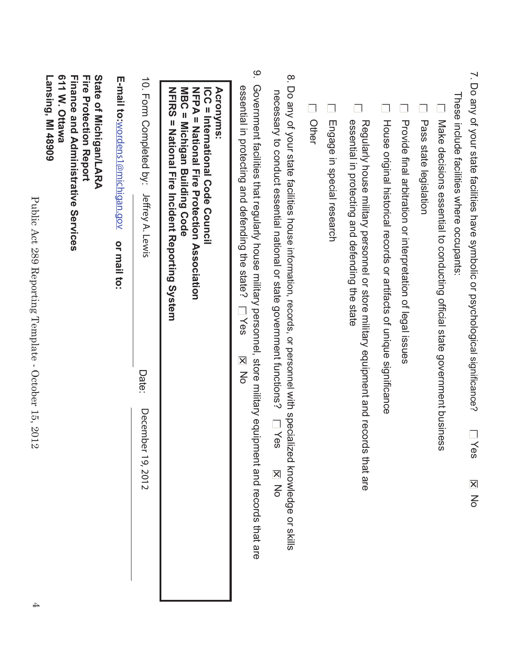|          | 7. Do any of your state facilities have symbolic or psychological significance?<br>es<br>$\overline{\mathsf{x}}$<br>$\overline{5}$                                                                                                                        |
|----------|-----------------------------------------------------------------------------------------------------------------------------------------------------------------------------------------------------------------------------------------------------------|
|          | These include facilities where occupants:                                                                                                                                                                                                                 |
|          | Make decisions essential to conducting official state government business                                                                                                                                                                                 |
|          | Pass state legislation                                                                                                                                                                                                                                    |
|          | Provide final arbitration or interpretation of legal issues                                                                                                                                                                                               |
|          | House original historical records or artifacts of unique significance                                                                                                                                                                                     |
|          | essential in protecting and defending the state<br>Regularly house military personnel or store military equipment and records that are                                                                                                                    |
|          | Engage in special research                                                                                                                                                                                                                                |
|          | Other                                                                                                                                                                                                                                                     |
| $\infty$ | Do any of your state facilities house information, records, or personnel with specialized knowledge or skills<br>necessary to conduct essential national or state government functions?<br>$\overline{\phantom{0}}$ $\overline{\phantom{0}}$<br><b>NO</b> |
| ိ        | Government facilities that regularly house military personnel, store military equipment and records that are<br>essential in protecting and defending the state?<br>Yes<br><b>NO</b>                                                                      |
|          | NFIRS<br>MBC = Michigan Building Code<br>NFPA = National Fire Protection Association<br>ICC = International Code Council<br><b>Acronyms:</b><br>= National Fire Incident Reporting System                                                                 |
|          | 10. Form Completed by:<br>Jeffrey A. Lewis<br>Date:<br>December 19, 2012                                                                                                                                                                                  |
|          | E-mail to:wordens1@michigan.gov<br>or mail to:                                                                                                                                                                                                            |
|          | 611 W. Ottawa<br><b>Fire Protection Report</b><br>State of Michigan/LARA<br><b>Finance and Administrative Services</b><br>Lansing, MI 48909                                                                                                               |

Public Act 289 Reporting Template - October 15, 2012

Public Act 289 Reporting Template - October 15, 2012

4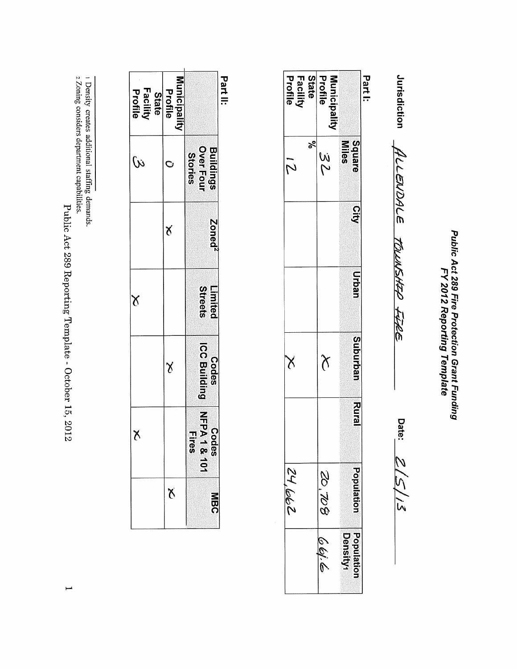Public Act 289 Fire Protection Grant Funding<br>FY 2012 Reporting Template

Jurisdiction ALLENDALE TOLUNSHEP FURE

Date:  $Z/\zeta/15$ 

Part I:

| State<br><b>Facility</b><br>Profile | Profile<br>Municipalit |                        |
|-------------------------------------|------------------------|------------------------|
| క్<br>$\tilde{\mathcal{M}}$         | W<br>M                 | Square<br><b>Miles</b> |
|                                     |                        | <b>City</b>            |
|                                     |                        | <b>Urban</b>           |
| $\lambda$                           | $\chi$                 | Suburban               |
|                                     |                        | <b>Rural</b>           |
| 24,662                              | 80'.02                 | <b>Population</b>      |
|                                     | ہے ،اقائ               | Populatio<br>Density   |

Part II:

| Facility<br>Profile<br>State | Municipalit<br>Profile |                                          |
|------------------------------|------------------------|------------------------------------------|
| $\omega$                     |                        | <b>Over Four</b><br>Buildings<br>Stories |
|                              | J                      | Zoned <sup>2</sup>                       |
| $\delta$                     |                        | Streets<br>Limited                       |
|                              | $\lambda$              | ICC Building<br><b>Codes</b>             |
| X                            |                        | NFPA1&101<br>NFPA1&101<br><b>Fires</b>   |
|                              | <b>X</b>               | <b>NBC</b>                               |

Public Act 289 Reporting Template - October 15, 2012

 $\mapsto$ 

1 Density creates additional staffing demands.<br>2 Zoning considers department capabilities.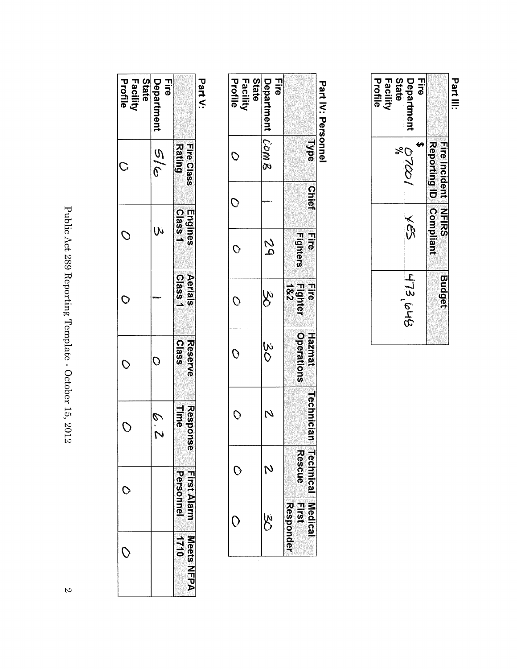| <b>State</b><br>Facility<br>Profile | 급<br>Department    |                                                      |
|-------------------------------------|--------------------|------------------------------------------------------|
| క్                                  | 07001              | Reporting ID Compliant<br><b>Fire Incident NFIRS</b> |
|                                     | <b>VS2</b>         |                                                      |
|                                     | $713.$ $\omega$ Hg | <b>Budget</b>                                        |

# Part IV: Personnel

| <b>State</b><br>Profile<br>Facility | <b>Fire</b><br>Department Com & |                                       |
|-------------------------------------|---------------------------------|---------------------------------------|
| O                                   |                                 | <b>Type</b>                           |
| O                                   |                                 | <b>Chief</b>                          |
| $\mathcal{O}$                       | 29                              | rire<br>Si<br><b>Fighters</b>         |
| $\mathcal{O}$                       | w<br>W                          | Fighter<br>  1&2<br>rire<br>Si        |
| $\mathcal O$                        | 3O<br>SO                        | <b>Operations</b><br><b>Haznat</b>    |
| O                                   |                                 | <b>Technician</b>                     |
|                                     |                                 | <b>Kescue</b><br><b>Technical</b>     |
|                                     |                                 | $\vec{a}$<br>Medic<br><b>responde</b> |

Part V:

| <b>State</b><br>Profile<br>Facilit | <b>Fire</b><br>Department | -<br>-<br>-<br>-                          |
|------------------------------------|---------------------------|-------------------------------------------|
|                                    | e<br>19                   | <b>Rating</b><br>Fire Class               |
|                                    |                           | <b>Class1</b><br>Engines                  |
|                                    |                           | Aerials<br><b>Class1</b>                  |
| C                                  |                           | <b>Class</b><br><b>Reserve</b>            |
|                                    | ى<br>ك                    | <b>Line</b><br>Response                   |
|                                    |                           | <b>First Alam</b><br>Personnel            |
|                                    |                           | <b>נ</b> בור<br>Meets<br>h<br><b>AHAA</b> |

Public Act 289 Reporting Template - October 15, 2012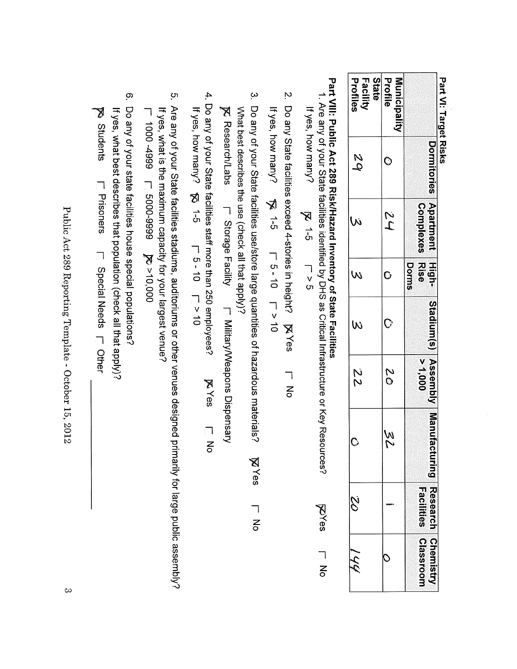| Dormitories Apartment High-<br><b>Complexes Rise</b><br>てい<br>Dorms<br>$\mathsf O$<br>  Stadium(s)   Assembly   Manufactı<br>0001 <sup>2</sup><br>2<br>0<br>N<br>V<br><b>Facilities</b><br>Research Chemistr<br>Classroon | State<br>Facility<br>Profiles<br>2<br>2 | Profile<br><b>Municipality</b><br>C | Part VI: Target Risks |
|---------------------------------------------------------------------------------------------------------------------------------------------------------------------------------------------------------------------------|-----------------------------------------|-------------------------------------|-----------------------|
|                                                                                                                                                                                                                           | Ŵ                                       |                                     |                       |
|                                                                                                                                                                                                                           | W                                       |                                     |                       |
| 22<br>$\mathbf C$<br>Š                                                                                                                                                                                                    | W                                       |                                     |                       |
|                                                                                                                                                                                                                           |                                         |                                     |                       |
|                                                                                                                                                                                                                           |                                         |                                     |                       |
|                                                                                                                                                                                                                           |                                         |                                     |                       |
|                                                                                                                                                                                                                           | びん                                      |                                     |                       |

# Part VIII: Public Act 289 Risk/Hazard Inventory of State Facilities

1. Are any of your State facilities identified by DHS as Critical Infrastructure or Key Resources? If yes, how many?  $\mathbb{R}$  1-5  $\sum_{\mathbf{0}}$ **RAves**  $\frac{1}{6}$ 

If yes, how many?  $\sqrt{5}$  1-5 T 5-10 T V 10

3. Do any of your State facilities use/store large quantities of hazardous materials? What best describes the use (check all that apply)? **MYes**  $\frac{1}{6}$ 

**K** Research/Labs **F** Storage Facility **F** Military/Weapons Dispensary

- 4. Do any of your State facilities staff more than 250 employees? If yes, how manny?  $\frac{1}{2}$  10  $\frac{1}{2}$  10  $\frac{1}{2}$  10  $\frac{1}{2}$  10 **EYes** LNo
- ო. Are any of your State facilities stadiums, auditoriums or other venues designed primarily for large public assembly? If yes, what is the maximum capacity for your largest venue? 000'01< $\leq$  6666-0009  $\leq$  6667-000
- <u>ဇ</u>ာ Do any of your state facilities house special populations? **No Students** If yes, what best describes that population (check all that apply)? L Prisoners L Special Needs L Other

Public Act 289 Reporting Template - October 15, 2012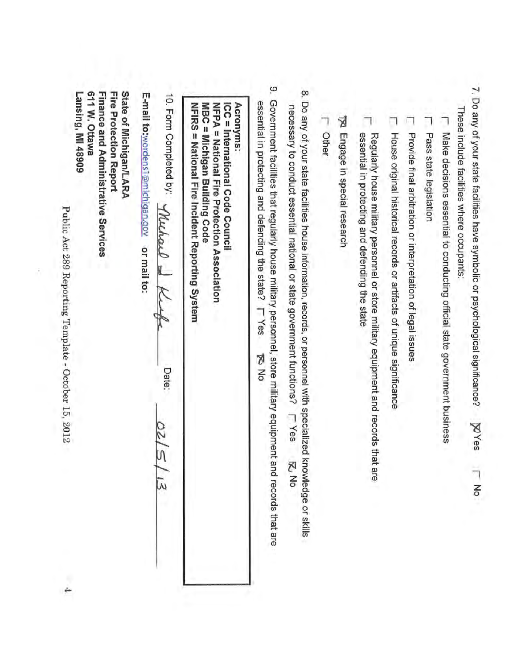- 7. Do any of your state facilities have symbolic or psychological significance? **ZYes** Μo
- These include facilities where occupants:
- Make decisions essential to conducting official state government business
- Pass state legislation
- Provide final arbitration or interpretation of legal issues
- $\Box$ House original historical records or artifacts of unique significance
- ┑ essential in protecting and defending the state Regularly house military personnel or store military equipment and records that are
- To Engage in special research
- **L** Other
- 8. Do any of your state facilities house information, records, or personnel with specialized knowledge or skills necessary to conduct essential national or state government functions? **LYes** 전 No
- ö, Government facilities that regularly house military personnel, store military equipment and records that are essential in protecting and defending the state? **LYes DIN** DI

**Acronyms:** NFPA = National Fire Protection Association NFIRS = National Fire Incident Reporting System MBC = Michigan Building Code ICC = International Code Counci

10. Form Completed by: *Muchaul* Date:  $\bar{\lambda}$ 

E-mail to:wordens1@michigan.gov or mail to:

Lansing, MI 48909 611 W. Ottawa Finance and Administrative Services Fire Protection Report State of Michigan/LARA

Public Act 289 Reporting Template - October 15, 2012

4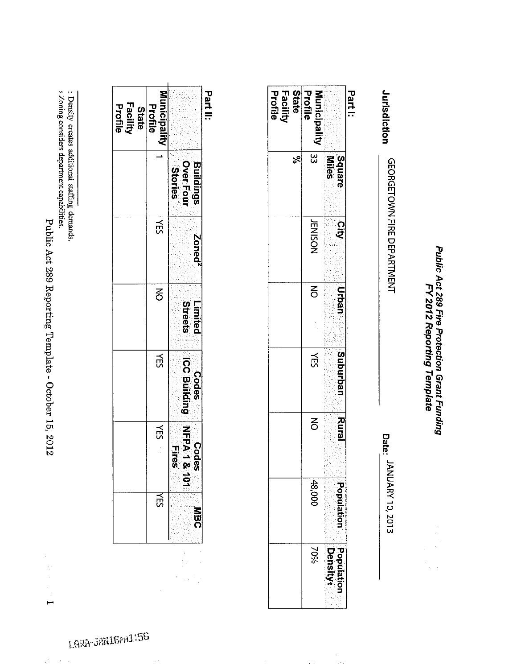Public Act 289 Reporting Template - October 15, 2012

 $\frac{1}{2}$  $\overline{a}$ 

 $\hat{\zeta}$  $\mathcal{A}^{\mathcal{A}}$  ,  $\mathcal{A}$ 

ı Density creates additional staffing demands.<br>2 Zoning considers department capabilities.

| Part II:                            |                                   |                    |                           |                                       |                       |    |
|-------------------------------------|-----------------------------------|--------------------|---------------------------|---------------------------------------|-----------------------|----|
|                                     | Buildings<br>Over Four<br>Stories | Zoned <sup>2</sup> | <b>Streets</b><br>Limited | ICC Building NFPA 1 &<br><b>Codes</b> | Codes<br><b>Hires</b> |    |
| <b>Municipality</b><br>Profile      |                                   | ΧÉ                 | $\overline{6}$            | 人<br>以                                | $\tilde{E}$           | ਛੇ |
| Facility<br>Profile<br><b>State</b> |                                   |                    |                           |                                       |                       |    |
|                                     |                                   |                    |                           |                                       |                       |    |

 $\label{eq:1} \sum_{i=1}^n \frac{1}{2} \sum_{j=1}^n \frac{1}{2} \sum_{j=1}^n \frac{1}{2} \sum_{j=1}^n \frac{1}{2} \sum_{j=1}^n \frac{1}{2} \sum_{j=1}^n \frac{1}{2} \sum_{j=1}^n \frac{1}{2} \sum_{j=1}^n \frac{1}{2} \sum_{j=1}^n \frac{1}{2} \sum_{j=1}^n \frac{1}{2} \sum_{j=1}^n \frac{1}{2} \sum_{j=1}^n \frac{1}{2} \sum_{j=1}^n \frac{1}{2} \sum_{j=$ 

 $\sim$ 

Public Act 289 Fire Protection Grant Funding FY 2012 Reporting Template

Jurisdiction GEORGETOWN FIRE DEPARTMENT

Date: JANUARY 10, 2013

Part I:

State<br>Facility<br>Profile

Profile

Municipality

 $\overline{33}$ 

**IENISON** 

 $\overline{a}$ 

**KES** 

 $\overline{6}$ 

48,000

70%

 $\langle \cdot \rangle$ 

ج $\vert z$ 

**Allies**<br>Square

ୁ<br>ଫ

**Urban** ÿ

Suburban

Rural

Population

Population<br>Density

i<br>Arti

LARA-JAN16PM1:56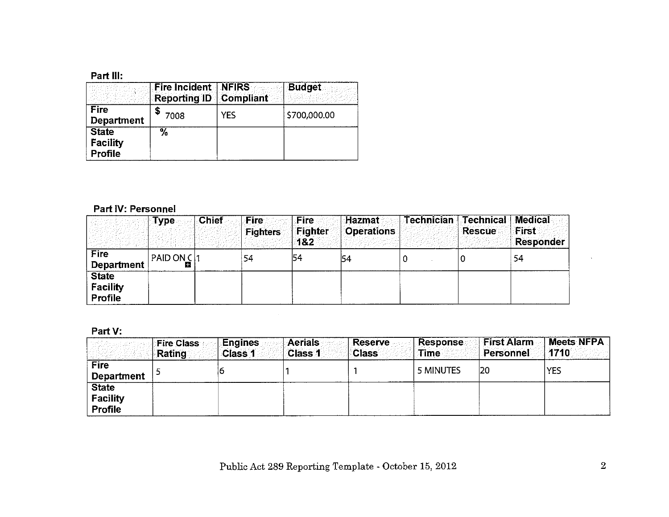## Part III:

|                                            | <b>Fire Incident NFIRS</b><br><b>Reporting ID Compliant</b> |     | <b>Budget</b> |
|--------------------------------------------|-------------------------------------------------------------|-----|---------------|
| Fire<br><b>Department</b>                  | 7008                                                        | YES | \$700,000.00  |
| <b>State</b><br>Facility<br><b>Profile</b> | $\%$                                                        |     |               |

# Part IV: Personnel

|                                                   | ाype          | <b>Chief</b> | <b>Fire</b><br><b>Fighters</b> | Fire<br>Fighter<br>182 | <b>Hazmat</b><br><b>Operations</b> | <b>Technician</b> | <b>Technical Medical</b><br><b>Rescue</b> | First<br><b>Responder</b> |
|---------------------------------------------------|---------------|--------------|--------------------------------|------------------------|------------------------------------|-------------------|-------------------------------------------|---------------------------|
| <b>Fire</b><br><b>Department</b>                  | PAID ON $C 1$ |              | 54                             | 54                     | 54                                 |                   |                                           | 54                        |
| <b>State</b><br><b>Facility</b><br><b>Profile</b> |               |              |                                |                        |                                    |                   |                                           |                           |

 $\sim$ 

# Part V:

|                                            | <b>Fire Class</b><br><b>Rating</b> | Engines<br><b>Class 1</b> | <b>Aerials</b><br><b>Class 1</b> | <b>Reserve</b><br><b>Class</b> | <b>Response</b><br>Time | <b>First Alarm</b><br>Personnel | <b>Meets NFPA</b><br>1710 |
|--------------------------------------------|------------------------------------|---------------------------|----------------------------------|--------------------------------|-------------------------|---------------------------------|---------------------------|
| <b>Fire</b><br><b>Department</b>           |                                    |                           |                                  |                                | 5 MINUTES               | 20                              | <b>YES</b>                |
| <b>State</b><br>Facility<br><b>Profile</b> |                                    |                           |                                  |                                |                         |                                 |                           |

 $\bar{\mathbf{v}}$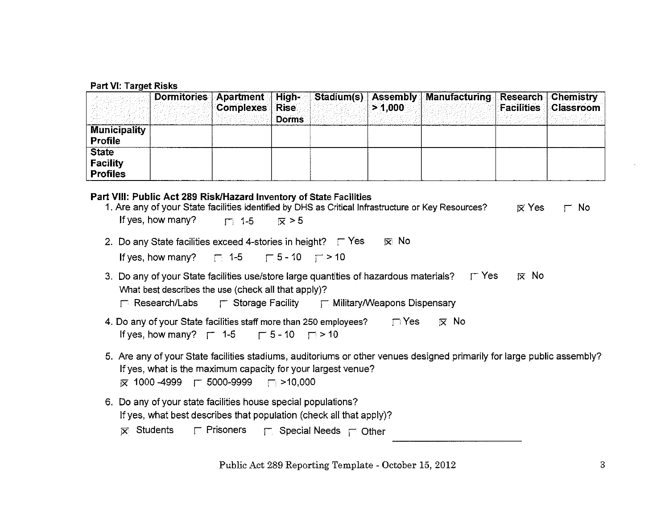### **Part VI: Target Risks**

|                     | <b>Complexes</b> Rise |              | > 1.000 | Dormitories Apartment High- Stadium(s) Assembly Manufacturing Research Chemistry | <b>Facilities Classroom</b> |
|---------------------|-----------------------|--------------|---------|----------------------------------------------------------------------------------|-----------------------------|
|                     |                       | <b>Dorms</b> |         |                                                                                  |                             |
| <b>Municipality</b> |                       |              |         |                                                                                  |                             |
| <b>Profile</b>      |                       |              |         |                                                                                  |                             |
| <b>State</b>        |                       |              |         |                                                                                  |                             |
| Facility            |                       |              |         |                                                                                  |                             |
| <b>Profiles</b>     |                       |              |         |                                                                                  |                             |

### Part VIII: Public Act 289 Risk/Hazard Inventory of State Facilities

| 1. Are any of your State facilities identified by DHS as Critical Infrastructure or Key Resources? | $\overline{\mathbf{x}}$ Yes | $\Gamma$ No |
|----------------------------------------------------------------------------------------------------|-----------------------------|-------------|
| If yes, how many? $\Box$ 1-5 $\Box$ $\bar{x} > 5$                                                  |                             |             |
|                                                                                                    |                             |             |
| l⊠ No<br>2. Do any State facilities exceed 4-stories in height? $\Gamma$ Yes                       |                             |             |
|                                                                                                    |                             |             |
| If yes, how many? $\Box$ 1-5 $\Box$ 5 - 10 $\Box$ > 10                                             |                             |             |
|                                                                                                    |                             |             |

- 3. Do any of your State facilities use/store large quantities of hazardous materials?  $\Gamma$  Yes  $\overline{\mathsf{x}}$  No What best describes the use (check all that apply)?
	- **F** Research/Labs  $\Gamma$  Storage Facility  $\Gamma$  Military/Weapons Dispensary
- 4. Do any of your State facilities staff more than 250 employees?  $\Box$  Yes  $\overline{\times}$  No If yes, how many?  $\Gamma$  1-5  $\Gamma$  5-10  $\Gamma$  > 10
- 5. Are any of your State facilities stadiums, auditoriums or other venues designed primarily for large public assembly? If yes, what is the maximum capacity for your largest venue?  $\overline{\mathbf{x}}$  1000-4999  $\Gamma$  5000-9999  $\Gamma$  >10,000
- 6. Do any of your state facilities house special populations? If yes, what best describes that population (check all that apply)?
	- $\mathbf{\nabla}$  Students  $\Gamma$  Prisoners  $\Gamma$  Special Needs  $\Gamma$  Other